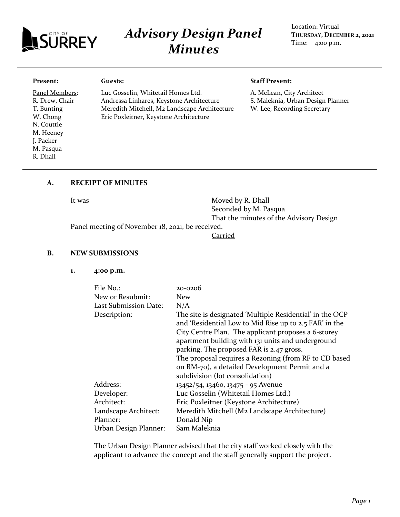

# *Advisory Design Panel Minutes*

Location: Virtual **THURSDAY, DECEMBER 2, 2021** Time: 4:00 p.m.

#### **Present:**

Panel Members: R. Drew, Chair T. Bunting W. Chong N. Couttie M. Heeney J. Packer M. Pasqua R. Dhall

Luc Gosselin, Whitetail Homes Ltd. Andressa Linhares, Keystone Architecture Meredith Mitchell, M2 Landscape Architecture Eric Poxleitner, Keystone Architecture

#### **Staff Present:**

A. McLean, City Architect S. Maleknia, Urban Design Planner W. Lee, Recording Secretary

# **A. RECEIPT OF MINUTES**

**Guests:**

It was Moved by R. Dhall Seconded by M. Pasqua That the minutes of the Advisory Design

Panel meeting of November 18, 2021, be received.

Carried

#### **B. NEW SUBMISSIONS**

**1. 4:00 p.m.**

| File No.:             | 20-0206                                                                                                            |
|-----------------------|--------------------------------------------------------------------------------------------------------------------|
|                       |                                                                                                                    |
| New or Resubmit:      | <b>New</b>                                                                                                         |
| Last Submission Date: | N/A                                                                                                                |
| Description:          | The site is designated 'Multiple Residential' in the OCP<br>and 'Residential Low to Mid Rise up to 2.5 FAR' in the |
|                       | City Centre Plan. The applicant proposes a 6-storey                                                                |
|                       | apartment building with 131 units and underground                                                                  |
|                       | parking. The proposed FAR is 2.47 gross.                                                                           |
|                       | The proposal requires a Rezoning (from RF to CD based                                                              |
|                       | on RM-70), a detailed Development Permit and a                                                                     |
|                       | subdivision (lot consolidation)                                                                                    |
| Address:              | 13452/54, 13460, 13475 - 95 Avenue                                                                                 |
| Developer:            | Luc Gosselin (Whitetail Homes Ltd.)                                                                                |
| Architect:            | Eric Poxleitner (Keystone Architecture)                                                                            |
| Landscape Architect:  | Meredith Mitchell (M2 Landscape Architecture)                                                                      |
| Planner:              | Donald Nip                                                                                                         |
| Urban Design Planner: | Sam Maleknia                                                                                                       |

The Urban Design Planner advised that the city staff worked closely with the applicant to advance the concept and the staff generally support the project.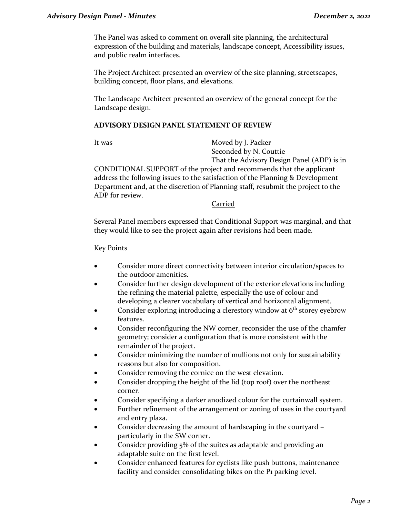The Panel was asked to comment on overall site planning, the architectural expression of the building and materials, landscape concept, Accessibility issues, and public realm interfaces.

The Project Architect presented an overview of the site planning, streetscapes, building concept, floor plans, and elevations.

The Landscape Architect presented an overview of the general concept for the Landscape design.

# **ADVISORY DESIGN PANEL STATEMENT OF REVIEW**

It was Moved by J. Packer Seconded by N. Couttie That the Advisory Design Panel (ADP) is in

CONDITIONAL SUPPORT of the project and recommends that the applicant address the following issues to the satisfaction of the Planning & Development Department and, at the discretion of Planning staff, resubmit the project to the ADP for review.

**Carried** 

Several Panel members expressed that Conditional Support was marginal, and that they would like to see the project again after revisions had been made.

Key Points

- Consider more direct connectivity between interior circulation/spaces to the outdoor amenities.
- Consider further design development of the exterior elevations including the refining the material palette, especially the use of colour and developing a clearer vocabulary of vertical and horizontal alignment.
- Consider exploring introducing a clerestory window at  $6<sup>th</sup>$  storey eyebrow features.
- Consider reconfiguring the NW corner, reconsider the use of the chamfer geometry; consider a configuration that is more consistent with the remainder of the project.
- Consider minimizing the number of mullions not only for sustainability reasons but also for composition.
- Consider removing the cornice on the west elevation.
- Consider dropping the height of the lid (top roof) over the northeast corner.
- Consider specifying a darker anodized colour for the curtainwall system.
- Further refinement of the arrangement or zoning of uses in the courtyard and entry plaza.
- Consider decreasing the amount of hardscaping in the courtyard particularly in the SW corner.
- Consider providing 5% of the suites as adaptable and providing an adaptable suite on the first level.
- Consider enhanced features for cyclists like push buttons, maintenance facility and consider consolidating bikes on the P1 parking level.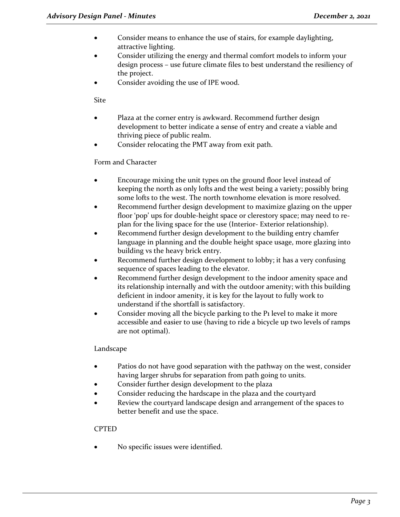- Consider means to enhance the use of stairs, for example daylighting, attractive lighting.
- Consider utilizing the energy and thermal comfort models to inform your design process – use future climate files to best understand the resiliency of the project.
- Consider avoiding the use of IPE wood.

Site

- Plaza at the corner entry is awkward. Recommend further design development to better indicate a sense of entry and create a viable and thriving piece of public realm.
- Consider relocating the PMT away from exit path.

# Form and Character

- Encourage mixing the unit types on the ground floor level instead of keeping the north as only lofts and the west being a variety; possibly bring some lofts to the west. The north townhome elevation is more resolved.
- Recommend further design development to maximize glazing on the upper floor 'pop' ups for double-height space or clerestory space; may need to replan for the living space for the use (Interior- Exterior relationship).
- Recommend further design development to the building entry chamfer language in planning and the double height space usage, more glazing into building vs the heavy brick entry.
- Recommend further design development to lobby; it has a very confusing sequence of spaces leading to the elevator.
- Recommend further design development to the indoor amenity space and its relationship internally and with the outdoor amenity; with this building deficient in indoor amenity, it is key for the layout to fully work to understand if the shortfall is satisfactory.
- Consider moving all the bicycle parking to the P1 level to make it more accessible and easier to use (having to ride a bicycle up two levels of ramps are not optimal).

# Landscape

- Patios do not have good separation with the pathway on the west, consider having larger shrubs for separation from path going to units.
- Consider further design development to the plaza
- Consider reducing the hardscape in the plaza and the courtyard
- Review the courtyard landscape design and arrangement of the spaces to better benefit and use the space.

# CPTED

No specific issues were identified.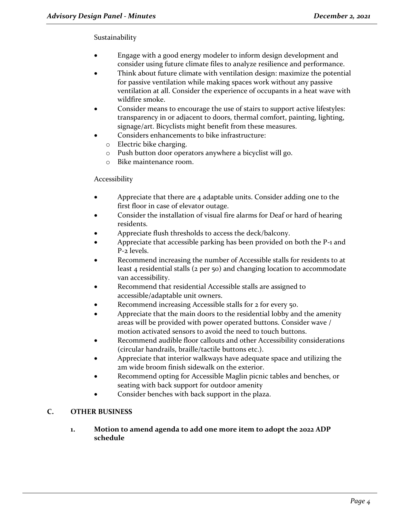# Sustainability

- Engage with a good energy modeler to inform design development and consider using future climate files to analyze resilience and performance.
- Think about future climate with ventilation design: maximize the potential for passive ventilation while making spaces work without any passive ventilation at all. Consider the experience of occupants in a heat wave with wildfire smoke.
- Consider means to encourage the use of stairs to support active lifestyles: transparency in or adjacent to doors, thermal comfort, painting, lighting, signage/art. Bicyclists might benefit from these measures.
- Considers enhancements to bike infrastructure:
	- o Electric bike charging.
	- o Push button door operators anywhere a bicyclist will go.
	- o Bike maintenance room.

# Accessibility

- Appreciate that there are 4 adaptable units. Consider adding one to the first floor in case of elevator outage.
- Consider the installation of visual fire alarms for Deaf or hard of hearing residents.
- Appreciate flush thresholds to access the deck/balcony.
- Appreciate that accessible parking has been provided on both the P-1 and P-2 levels.
- Recommend increasing the number of Accessible stalls for residents to at least 4 residential stalls (2 per 50) and changing location to accommodate van accessibility.
- Recommend that residential Accessible stalls are assigned to accessible/adaptable unit owners.
- Recommend increasing Accessible stalls for 2 for every 50.
- Appreciate that the main doors to the residential lobby and the amenity areas will be provided with power operated buttons. Consider wave / motion activated sensors to avoid the need to touch buttons.
- Recommend audible floor callouts and other Accessibility considerations (circular handrails, braille/tactile buttons etc.).
- Appreciate that interior walkways have adequate space and utilizing the 2m wide broom finish sidewalk on the exterior.
- Recommend opting for Accessible Maglin picnic tables and benches, or seating with back support for outdoor amenity
- Consider benches with back support in the plaza.

# **C. OTHER BUSINESS**

**1. Motion to amend agenda to add one more item to adopt the 2022 ADP schedule**